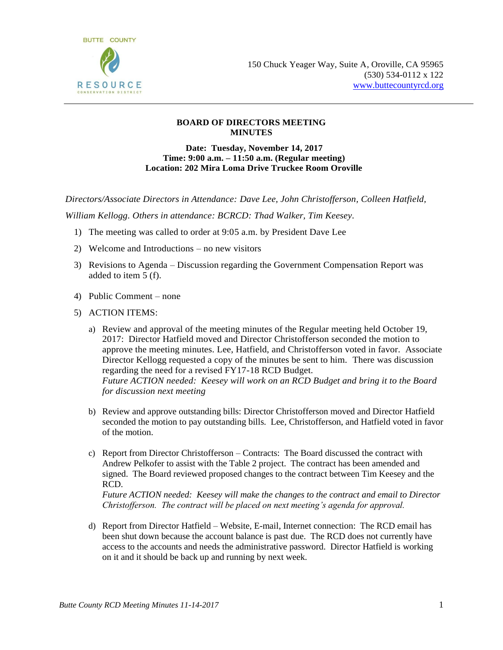

## **BOARD OF DIRECTORS MEETING MINUTES**

**Date: Tuesday, November 14, 2017 Time: 9:00 a.m. – 11:50 a.m. (Regular meeting) Location: 202 Mira Loma Drive Truckee Room Oroville**

*Directors/Associate Directors in Attendance: Dave Lee, John Christofferson, Colleen Hatfield,* 

*William Kellogg. Others in attendance: BCRCD: Thad Walker, Tim Keesey.* 

- 1) The meeting was called to order at 9:05 a.m. by President Dave Lee
- 2) Welcome and Introductions no new visitors
- 3) Revisions to Agenda Discussion regarding the Government Compensation Report was added to item 5 (f).
- 4) Public Comment none
- 5) ACTION ITEMS:
	- a) Review and approval of the meeting minutes of the Regular meeting held October 19, 2017: Director Hatfield moved and Director Christofferson seconded the motion to approve the meeting minutes. Lee, Hatfield, and Christofferson voted in favor. Associate Director Kellogg requested a copy of the minutes be sent to him. There was discussion regarding the need for a revised FY17-18 RCD Budget. *Future ACTION needed: Keesey will work on an RCD Budget and bring it to the Board for discussion next meeting*
	- b) Review and approve outstanding bills: Director Christofferson moved and Director Hatfield seconded the motion to pay outstanding bills. Lee, Christofferson, and Hatfield voted in favor of the motion.
	- c) Report from Director Christofferson Contracts: The Board discussed the contract with Andrew Pelkofer to assist with the Table 2 project. The contract has been amended and signed. The Board reviewed proposed changes to the contract between Tim Keesey and the RCD.

*Future ACTION needed: Keesey will make the changes to the contract and email to Director Christofferson. The contract will be placed on next meeting's agenda for approval.*

d) Report from Director Hatfield – Website, E-mail, Internet connection: The RCD email has been shut down because the account balance is past due. The RCD does not currently have access to the accounts and needs the administrative password. Director Hatfield is working on it and it should be back up and running by next week.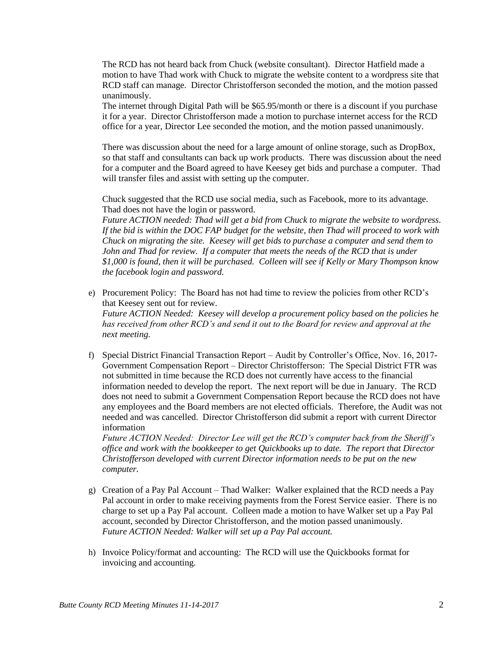The RCD has not heard back from Chuck (website consultant). Director Hatfield made a motion to have Thad work with Chuck to migrate the website content to a wordpress site that RCD staff can manage. Director Christofferson seconded the motion, and the motion passed unanimously.

The internet through Digital Path will be \$65.95/month or there is a discount if you purchase it for a year. Director Christofferson made a motion to purchase internet access for the RCD office for a year, Director Lee seconded the motion, and the motion passed unanimously.

There was discussion about the need for a large amount of online storage, such as DropBox, so that staff and consultants can back up work products. There was discussion about the need for a computer and the Board agreed to have Keesey get bids and purchase a computer. Thad will transfer files and assist with setting up the computer.

Chuck suggested that the RCD use social media, such as Facebook, more to its advantage. Thad does not have the login or password.

*Future ACTION needed: Thad will get a bid from Chuck to migrate the website to wordpress. If the bid is within the DOC FAP budget for the website, then Thad will proceed to work with Chuck on migrating the site. Keesey will get bids to purchase a computer and send them to John and Thad for review. If a computer that meets the needs of the RCD that is under \$1,000 is found, then it will be purchased. Colleen will see if Kelly or Mary Thompson know the facebook login and password.*

e) Procurement Policy: The Board has not had time to review the policies from other RCD's that Keesey sent out for review.

*Future ACTION Needed: Keesey will develop a procurement policy based on the policies he has received from other RCD's and send it out to the Board for review and approval at the next meeting.*

f) Special District Financial Transaction Report – Audit by Controller's Office, Nov. 16, 2017- Government Compensation Report – Director Christofferson: The Special District FTR was not submitted in time because the RCD does not currently have access to the financial information needed to develop the report. The next report will be due in January. The RCD does not need to submit a Government Compensation Report because the RCD does not have any employees and the Board members are not elected officials. Therefore, the Audit was not needed and was cancelled. Director Christofferson did submit a report with current Director information

*Future ACTION Needed: Director Lee will get the RCD's computer back from the Sheriff's office and work with the bookkeeper to get Quickbooks up to date. The report that Director Christofferson developed with current Director information needs to be put on the new computer.*

- g) Creation of a Pay Pal Account Thad Walker: Walker explained that the RCD needs a Pay Pal account in order to make receiving payments from the Forest Service easier. There is no charge to set up a Pay Pal account. Colleen made a motion to have Walker set up a Pay Pal account, seconded by Director Christofferson, and the motion passed unanimously. *Future ACTION Needed: Walker will set up a Pay Pal account.*
- h) Invoice Policy/format and accounting: The RCD will use the Quickbooks format for invoicing and accounting.